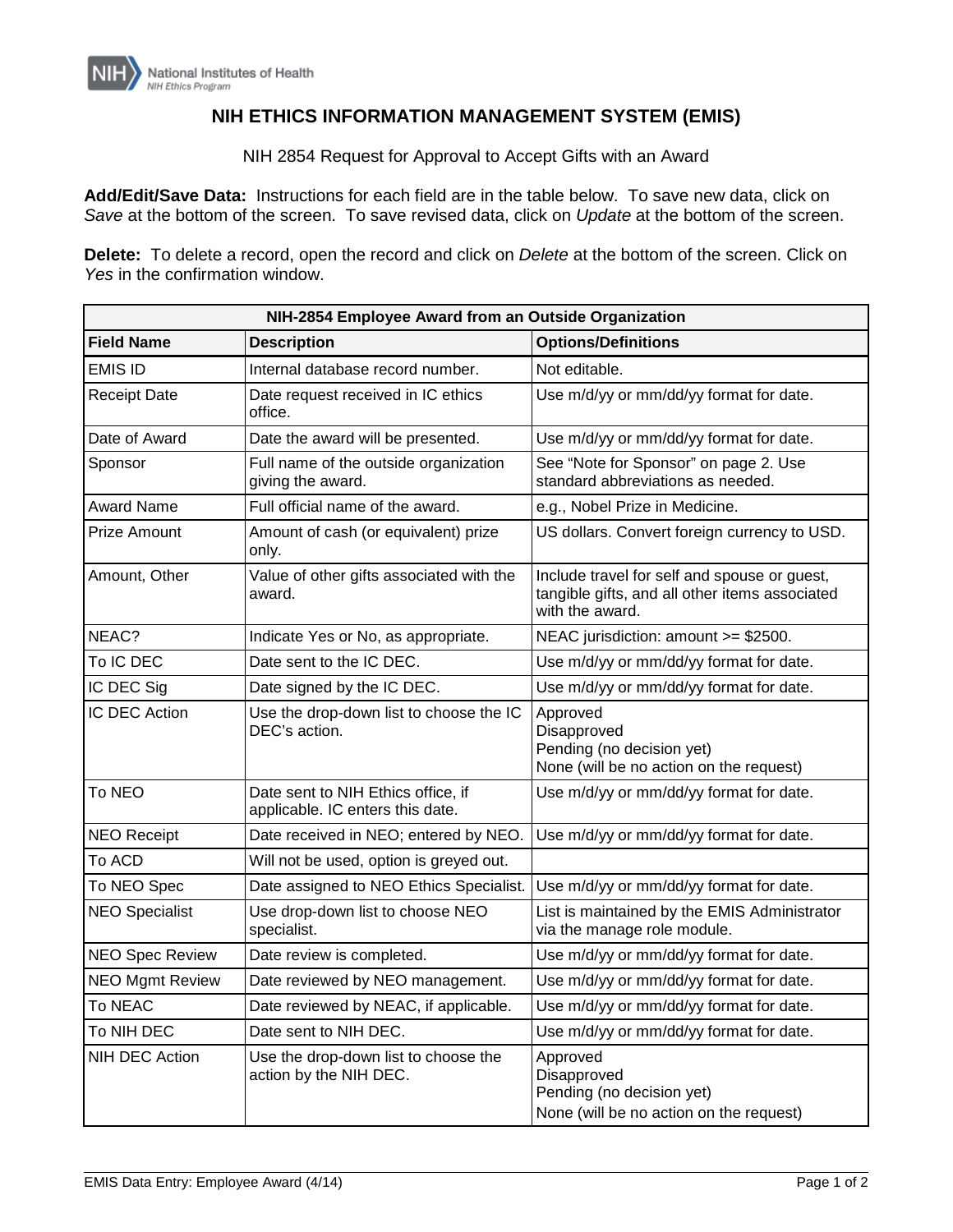## **NIH ETHICS INFORMATION MANAGEMENT SYSTEM (EMIS)**

NIH 2854 Request for Approval to Accept Gifts with an Award

**Add/Edit/Save Data:** Instructions for each field are in the table below. To save new data, click on *Save* at the bottom of the screen. To save revised data, click on *Update* at the bottom of the screen.

**Delete:** To delete a record, open the record and click on *Delete* at the bottom of the screen. Click on *Yes* in the confirmation window.

| NIH-2854 Employee Award from an Outside Organization |                                                                        |                                                                                                                   |  |
|------------------------------------------------------|------------------------------------------------------------------------|-------------------------------------------------------------------------------------------------------------------|--|
| <b>Field Name</b>                                    | <b>Description</b>                                                     | <b>Options/Definitions</b>                                                                                        |  |
| EMIS ID                                              | Internal database record number.                                       | Not editable.                                                                                                     |  |
| <b>Receipt Date</b>                                  | Date request received in IC ethics<br>office.                          | Use m/d/yy or mm/dd/yy format for date.                                                                           |  |
| Date of Award                                        | Date the award will be presented.                                      | Use m/d/yy or mm/dd/yy format for date.                                                                           |  |
| Sponsor                                              | Full name of the outside organization<br>giving the award.             | See "Note for Sponsor" on page 2. Use<br>standard abbreviations as needed.                                        |  |
| <b>Award Name</b>                                    | Full official name of the award.                                       | e.g., Nobel Prize in Medicine.                                                                                    |  |
| Prize Amount                                         | Amount of cash (or equivalent) prize<br>only.                          | US dollars. Convert foreign currency to USD.                                                                      |  |
| Amount, Other                                        | Value of other gifts associated with the<br>award.                     | Include travel for self and spouse or guest,<br>tangible gifts, and all other items associated<br>with the award. |  |
| NEAC?                                                | Indicate Yes or No, as appropriate.                                    | NEAC jurisdiction: amount >= \$2500.                                                                              |  |
| To IC DEC                                            | Date sent to the IC DEC.                                               | Use m/d/yy or mm/dd/yy format for date.                                                                           |  |
| IC DEC Sig                                           | Date signed by the IC DEC.                                             | Use m/d/yy or mm/dd/yy format for date.                                                                           |  |
| IC DEC Action                                        | Use the drop-down list to choose the IC<br>DEC's action.               | Approved<br>Disapproved<br>Pending (no decision yet)<br>None (will be no action on the request)                   |  |
| To NEO                                               | Date sent to NIH Ethics office, if<br>applicable. IC enters this date. | Use m/d/yy or mm/dd/yy format for date.                                                                           |  |
| <b>NEO Receipt</b>                                   | Date received in NEO; entered by NEO.                                  | Use m/d/yy or mm/dd/yy format for date.                                                                           |  |
| To ACD                                               | Will not be used, option is greyed out.                                |                                                                                                                   |  |
| To NEO Spec                                          | Date assigned to NEO Ethics Specialist.                                | Use m/d/yy or mm/dd/yy format for date.                                                                           |  |
| <b>NEO Specialist</b>                                | Use drop-down list to choose NEO<br>specialist.                        | List is maintained by the EMIS Administrator<br>via the manage role module.                                       |  |
| <b>NEO Spec Review</b>                               | Date review is completed.                                              | Use m/d/yy or mm/dd/yy format for date.                                                                           |  |
| <b>NEO Mgmt Review</b>                               | Date reviewed by NEO management.                                       | Use m/d/yy or mm/dd/yy format for date.                                                                           |  |
| To NEAC                                              | Date reviewed by NEAC, if applicable.                                  | Use m/d/yy or mm/dd/yy format for date.                                                                           |  |
| To NIH DEC                                           | Date sent to NIH DEC.                                                  | Use m/d/yy or mm/dd/yy format for date.                                                                           |  |
| NIH DEC Action                                       | Use the drop-down list to choose the<br>action by the NIH DEC.         | Approved<br>Disapproved<br>Pending (no decision yet)<br>None (will be no action on the request)                   |  |